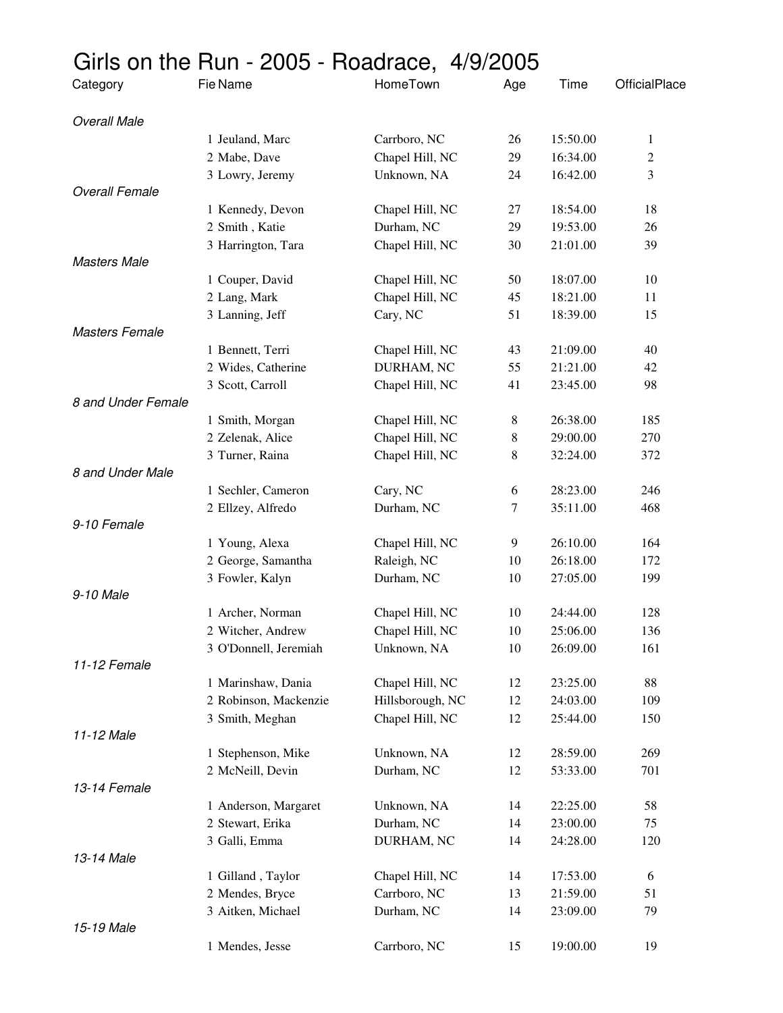## Girls on the Run - 2005 - Roadrace, 4/9/2005

| Category              | Fie Name              | HomeTown         | Age | Time     | OfficialPlace  |
|-----------------------|-----------------------|------------------|-----|----------|----------------|
| <b>Overall Male</b>   |                       |                  |     |          |                |
|                       | 1 Jeuland, Marc       | Carrboro, NC     | 26  | 15:50.00 | $\mathbf{1}$   |
|                       | 2 Mabe, Dave          | Chapel Hill, NC  | 29  | 16:34.00 | $\overline{c}$ |
|                       | 3 Lowry, Jeremy       | Unknown, NA      | 24  | 16:42.00 | 3              |
| <b>Overall Female</b> |                       |                  |     |          |                |
|                       | 1 Kennedy, Devon      | Chapel Hill, NC  | 27  | 18:54.00 | 18             |
|                       | 2 Smith, Katie        | Durham, NC       | 29  | 19:53.00 | 26             |
|                       | 3 Harrington, Tara    | Chapel Hill, NC  | 30  | 21:01.00 | 39             |
| <b>Masters Male</b>   |                       |                  |     |          |                |
|                       | 1 Couper, David       | Chapel Hill, NC  | 50  | 18:07.00 | 10             |
|                       | 2 Lang, Mark          | Chapel Hill, NC  | 45  | 18:21.00 | 11             |
|                       | 3 Lanning, Jeff       | Cary, NC         | 51  | 18:39.00 | 15             |
| <b>Masters Female</b> |                       |                  |     |          |                |
|                       | 1 Bennett, Terri      | Chapel Hill, NC  | 43  | 21:09.00 | 40             |
|                       | 2 Wides, Catherine    | DURHAM, NC       | 55  | 21:21.00 | 42             |
|                       | 3 Scott, Carroll      | Chapel Hill, NC  | 41  | 23:45.00 | 98             |
| 8 and Under Female    |                       |                  |     |          |                |
|                       | 1 Smith, Morgan       | Chapel Hill, NC  | 8   | 26:38.00 | 185            |
|                       | 2 Zelenak, Alice      | Chapel Hill, NC  | 8   | 29:00.00 | 270            |
|                       | 3 Turner, Raina       | Chapel Hill, NC  | 8   | 32:24.00 | 372            |
| 8 and Under Male      |                       |                  |     |          |                |
|                       | 1 Sechler, Cameron    | Cary, NC         | 6   | 28:23.00 | 246            |
|                       | 2 Ellzey, Alfredo     | Durham, NC       | 7   | 35:11.00 | 468            |
| 9-10 Female           |                       |                  |     |          |                |
|                       | 1 Young, Alexa        | Chapel Hill, NC  | 9   | 26:10.00 | 164            |
|                       | 2 George, Samantha    | Raleigh, NC      | 10  | 26:18.00 | 172            |
|                       | 3 Fowler, Kalyn       | Durham, NC       | 10  | 27:05.00 | 199            |
| 9-10 Male             |                       |                  |     |          |                |
|                       | 1 Archer, Norman      | Chapel Hill, NC  | 10  | 24:44.00 | 128            |
|                       | 2 Witcher, Andrew     | Chapel Hill, NC  | 10  | 25:06.00 | 136            |
|                       | 3 O'Donnell, Jeremiah | Unknown, NA      | 10  | 26:09.00 | 161            |
| 11-12 Female          |                       |                  |     |          |                |
|                       | 1 Marinshaw, Dania    | Chapel Hill, NC  | 12  | 23:25.00 | 88             |
|                       | 2 Robinson, Mackenzie | Hillsborough, NC | 12  | 24:03.00 | 109            |
| 11-12 Male            | 3 Smith, Meghan       | Chapel Hill, NC  | 12  | 25:44.00 | 150            |
|                       |                       |                  |     |          |                |
|                       | 1 Stephenson, Mike    | Unknown, NA      | 12  | 28:59.00 | 269            |
| 13-14 Female          | 2 McNeill, Devin      | Durham, NC       | 12  | 53:33.00 | 701            |
|                       | 1 Anderson, Margaret  | Unknown, NA      | 14  | 22:25.00 | 58             |
|                       | 2 Stewart, Erika      | Durham, NC       | 14  | 23:00.00 | 75             |
|                       | 3 Galli, Emma         | DURHAM, NC       | 14  | 24:28.00 | 120            |
| 13-14 Male            |                       |                  |     |          |                |
|                       | 1 Gilland, Taylor     | Chapel Hill, NC  | 14  | 17:53.00 | 6              |
|                       | 2 Mendes, Bryce       | Carrboro, NC     | 13  | 21:59.00 | 51             |
|                       | 3 Aitken, Michael     | Durham, NC       | 14  | 23:09.00 | 79             |
| 15-19 Male            |                       |                  |     |          |                |
|                       | 1 Mendes, Jesse       | Carrboro, NC     | 15  | 19:00.00 | 19             |
|                       |                       |                  |     |          |                |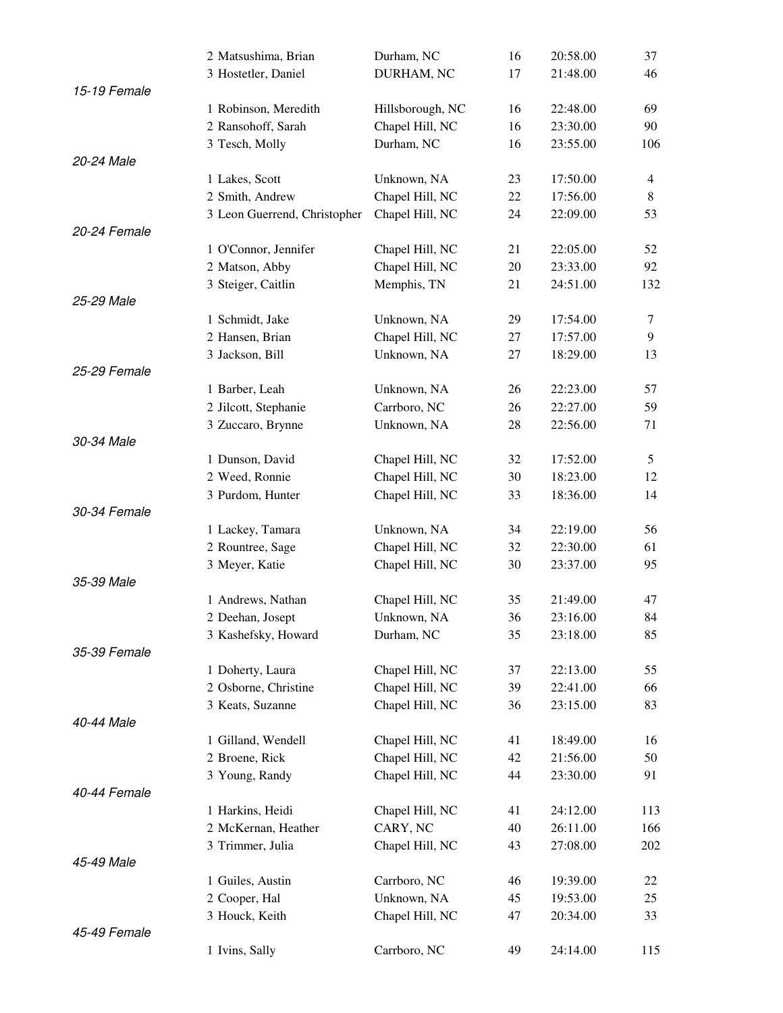|              | 2 Matsushima, Brian          | Durham, NC       | 16 | 20:58.00 | 37             |
|--------------|------------------------------|------------------|----|----------|----------------|
|              | 3 Hostetler, Daniel          | DURHAM, NC       | 17 | 21:48.00 | 46             |
| 15-19 Female |                              |                  |    |          |                |
|              | 1 Robinson, Meredith         | Hillsborough, NC | 16 | 22:48.00 | 69             |
|              | 2 Ransohoff, Sarah           | Chapel Hill, NC  | 16 | 23:30.00 | 90             |
|              | 3 Tesch, Molly               | Durham, NC       | 16 | 23:55.00 | 106            |
| 20-24 Male   |                              |                  |    |          |                |
|              | 1 Lakes, Scott               | Unknown, NA      | 23 | 17:50.00 | $\overline{4}$ |
|              | 2 Smith, Andrew              | Chapel Hill, NC  | 22 | 17:56.00 | 8              |
|              | 3 Leon Guerrend, Christopher | Chapel Hill, NC  | 24 | 22:09.00 | 53             |
| 20-24 Female |                              |                  |    |          |                |
|              | 1 O'Connor, Jennifer         | Chapel Hill, NC  | 21 | 22:05.00 | 52             |
|              | 2 Matson, Abby               | Chapel Hill, NC  | 20 | 23:33.00 | 92             |
|              | 3 Steiger, Caitlin           | Memphis, TN      | 21 | 24:51.00 | 132            |
| 25-29 Male   |                              |                  |    |          |                |
|              | 1 Schmidt, Jake              | Unknown, NA      | 29 | 17:54.00 | 7              |
|              | 2 Hansen, Brian              | Chapel Hill, NC  | 27 | 17:57.00 | 9              |
|              | 3 Jackson, Bill              | Unknown, NA      | 27 | 18:29.00 | 13             |
| 25-29 Female |                              |                  |    |          |                |
|              | 1 Barber, Leah               | Unknown, NA      | 26 | 22:23.00 | 57             |
|              | 2 Jilcott, Stephanie         | Carrboro, NC     | 26 | 22:27.00 | 59             |
|              | 3 Zuccaro, Brynne            | Unknown, NA      | 28 | 22:56.00 | 71             |
| 30-34 Male   |                              |                  |    |          |                |
|              | 1 Dunson, David              | Chapel Hill, NC  | 32 | 17:52.00 | 5              |
|              | 2 Weed, Ronnie               | Chapel Hill, NC  | 30 | 18:23.00 | 12             |
|              | 3 Purdom, Hunter             | Chapel Hill, NC  | 33 | 18:36.00 | 14             |
| 30-34 Female |                              |                  |    |          |                |
|              | 1 Lackey, Tamara             | Unknown, NA      | 34 | 22:19.00 | 56             |
|              | 2 Rountree, Sage             | Chapel Hill, NC  | 32 | 22:30.00 | 61             |
|              | 3 Meyer, Katie               | Chapel Hill, NC  | 30 | 23:37.00 | 95             |
| 35-39 Male   |                              |                  |    |          |                |
|              | 1 Andrews, Nathan            | Chapel Hill, NC  | 35 | 21:49.00 | 47             |
|              | 2 Deehan, Josept             | Unknown, NA      | 36 | 23:16.00 | 84             |
|              | 3 Kashefsky, Howard          | Durham, NC       | 35 | 23:18.00 | 85             |
| 35-39 Female |                              |                  |    |          |                |
|              | 1 Doherty, Laura             | Chapel Hill, NC  | 37 | 22:13.00 | 55             |
|              | 2 Osborne, Christine         | Chapel Hill, NC  | 39 | 22:41.00 | 66             |
|              | 3 Keats, Suzanne             | Chapel Hill, NC  | 36 | 23:15.00 | 83             |
| 40-44 Male   |                              |                  |    |          |                |
|              | 1 Gilland, Wendell           | Chapel Hill, NC  | 41 | 18:49.00 | 16             |
|              | 2 Broene, Rick               | Chapel Hill, NC  | 42 | 21:56.00 | 50             |
|              | 3 Young, Randy               | Chapel Hill, NC  | 44 | 23:30.00 | 91             |
| 40-44 Female |                              |                  |    |          |                |
|              | 1 Harkins, Heidi             | Chapel Hill, NC  | 41 | 24:12.00 | 113            |
|              | 2 McKernan, Heather          | CARY, NC         | 40 | 26:11.00 | 166            |
|              | 3 Trimmer, Julia             | Chapel Hill, NC  | 43 | 27:08.00 | 202            |
| 45-49 Male   |                              |                  |    |          |                |
|              | 1 Guiles, Austin             | Carrboro, NC     | 46 | 19:39.00 | 22             |
|              | 2 Cooper, Hal                | Unknown, NA      | 45 | 19:53.00 | 25             |
|              | 3 Houck, Keith               | Chapel Hill, NC  | 47 | 20:34.00 | 33             |
| 45-49 Female |                              |                  |    |          |                |
|              | 1 Ivins, Sally               | Carrboro, NC     | 49 | 24:14.00 | 115            |
|              |                              |                  |    |          |                |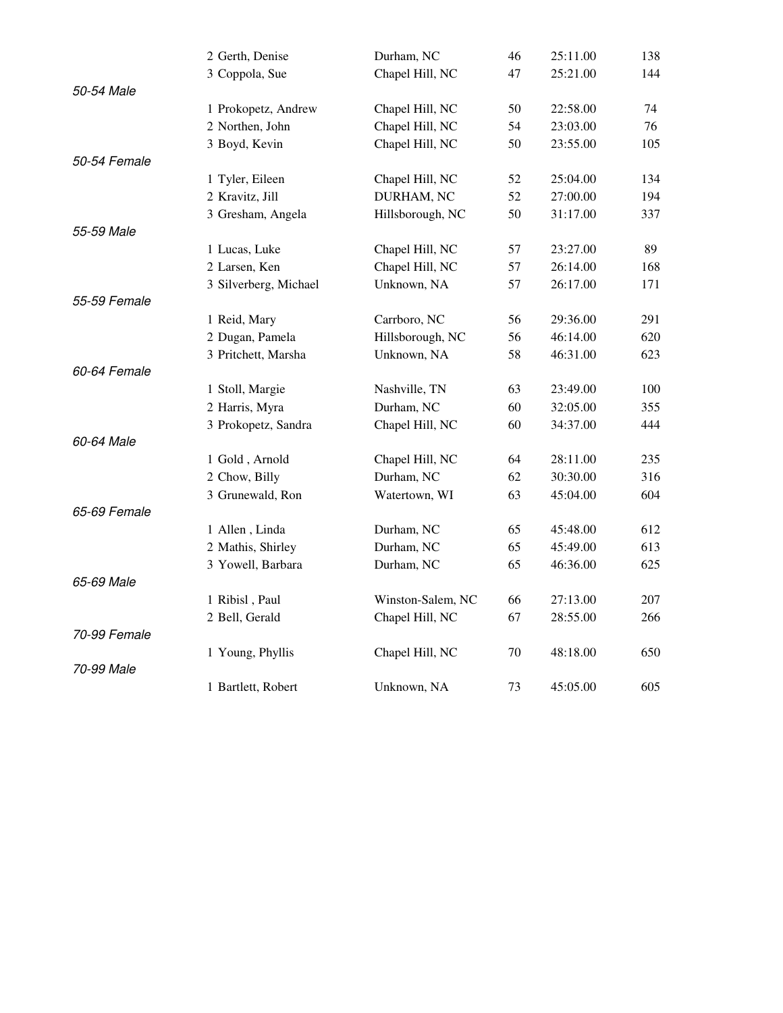|              | 2 Gerth, Denise       | Durham, NC        | 46 | 25:11.00 | 138 |
|--------------|-----------------------|-------------------|----|----------|-----|
|              | 3 Coppola, Sue        | Chapel Hill, NC   | 47 | 25:21.00 | 144 |
| 50-54 Male   |                       |                   |    |          |     |
|              | 1 Prokopetz, Andrew   | Chapel Hill, NC   | 50 | 22:58.00 | 74  |
|              | 2 Northen, John       | Chapel Hill, NC   | 54 | 23:03.00 | 76  |
|              | 3 Boyd, Kevin         | Chapel Hill, NC   | 50 | 23:55.00 | 105 |
| 50-54 Female |                       |                   |    |          |     |
|              | 1 Tyler, Eileen       | Chapel Hill, NC   | 52 | 25:04.00 | 134 |
|              | 2 Kravitz, Jill       | DURHAM, NC        | 52 | 27:00.00 | 194 |
|              | 3 Gresham, Angela     | Hillsborough, NC  | 50 | 31:17.00 | 337 |
| 55-59 Male   |                       |                   |    |          |     |
|              | 1 Lucas, Luke         | Chapel Hill, NC   | 57 | 23:27.00 | 89  |
|              | 2 Larsen, Ken         | Chapel Hill, NC   | 57 | 26:14.00 | 168 |
|              | 3 Silverberg, Michael | Unknown, NA       | 57 | 26:17.00 | 171 |
| 55-59 Female |                       |                   |    |          |     |
|              | 1 Reid, Mary          | Carrboro, NC      | 56 | 29:36.00 | 291 |
|              | 2 Dugan, Pamela       | Hillsborough, NC  | 56 | 46:14.00 | 620 |
|              | 3 Pritchett, Marsha   | Unknown, NA       | 58 | 46:31.00 | 623 |
| 60-64 Female |                       |                   |    |          |     |
|              | 1 Stoll, Margie       | Nashville, TN     | 63 | 23:49.00 | 100 |
|              | 2 Harris, Myra        | Durham, NC        | 60 | 32:05.00 | 355 |
|              | 3 Prokopetz, Sandra   | Chapel Hill, NC   | 60 | 34:37.00 | 444 |
| 60-64 Male   |                       |                   |    |          |     |
|              | 1 Gold, Arnold        | Chapel Hill, NC   | 64 | 28:11.00 | 235 |
|              | 2 Chow, Billy         | Durham, NC        | 62 | 30:30.00 | 316 |
|              | 3 Grunewald, Ron      | Watertown, WI     | 63 | 45:04.00 | 604 |
| 65-69 Female |                       |                   |    |          |     |
|              | 1 Allen, Linda        | Durham, NC        | 65 | 45:48.00 | 612 |
|              | 2 Mathis, Shirley     | Durham, NC        | 65 | 45:49.00 | 613 |
|              | 3 Yowell, Barbara     | Durham, NC        | 65 | 46:36.00 | 625 |
| 65-69 Male   |                       |                   |    |          |     |
|              | 1 Ribisl, Paul        | Winston-Salem, NC | 66 | 27:13.00 | 207 |
|              | 2 Bell, Gerald        | Chapel Hill, NC   | 67 | 28:55.00 | 266 |
| 70-99 Female |                       |                   |    |          |     |
|              | 1 Young, Phyllis      | Chapel Hill, NC   | 70 | 48:18.00 | 650 |
| 70-99 Male   |                       |                   |    |          |     |
|              | 1 Bartlett, Robert    | Unknown, NA       | 73 | 45:05.00 | 605 |